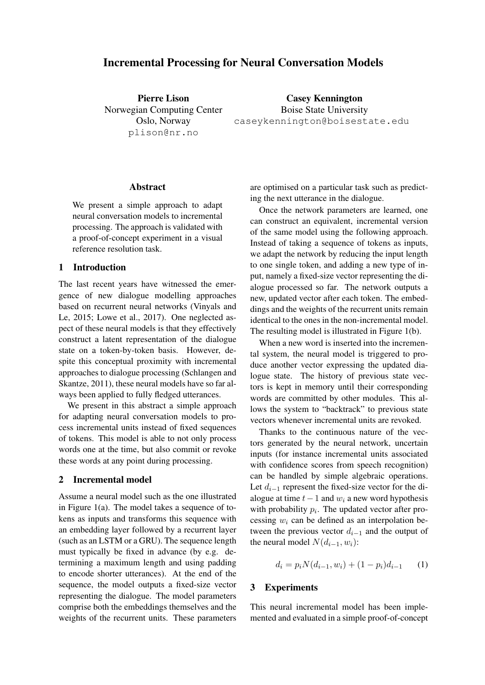# Incremental Processing for Neural Conversation Models

Pierre Lison Norwegian Computing Center Oslo, Norway plison@nr.no

Casey Kennington Boise State University caseykennington@boisestate.edu

#### Abstract

We present a simple approach to adapt neural conversation models to incremental processing. The approach is validated with a proof-of-concept experiment in a visual reference resolution task.

### 1 Introduction

The last recent years have witnessed the emergence of new dialogue modelling approaches based on recurrent neural networks (Vinyals and Le, 2015; Lowe et al., 2017). One neglected aspect of these neural models is that they effectively construct a latent representation of the dialogue state on a token-by-token basis. However, despite this conceptual proximity with incremental approaches to dialogue processing (Schlangen and Skantze, 2011), these neural models have so far always been applied to fully fledged utterances.

We present in this abstract a simple approach for adapting neural conversation models to process incremental units instead of fixed sequences of tokens. This model is able to not only process words one at the time, but also commit or revoke these words at any point during processing.

## 2 Incremental model

Assume a neural model such as the one illustrated in Figure 1(a). The model takes a sequence of tokens as inputs and transforms this sequence with an embedding layer followed by a recurrent layer (such as an LSTM or a GRU). The sequence length must typically be fixed in advance (by e.g. determining a maximum length and using padding to encode shorter utterances). At the end of the sequence, the model outputs a fixed-size vector representing the dialogue. The model parameters comprise both the embeddings themselves and the weights of the recurrent units. These parameters are optimised on a particular task such as predicting the next utterance in the dialogue.

Once the network parameters are learned, one can construct an equivalent, incremental version of the same model using the following approach. Instead of taking a sequence of tokens as inputs, we adapt the network by reducing the input length to one single token, and adding a new type of input, namely a fixed-size vector representing the dialogue processed so far. The network outputs a new, updated vector after each token. The embeddings and the weights of the recurrent units remain identical to the ones in the non-incremental model. The resulting model is illustrated in Figure 1(b).

When a new word is inserted into the incremental system, the neural model is triggered to produce another vector expressing the updated dialogue state. The history of previous state vectors is kept in memory until their corresponding words are committed by other modules. This allows the system to "backtrack" to previous state vectors whenever incremental units are revoked.

Thanks to the continuous nature of the vectors generated by the neural network, uncertain inputs (for instance incremental units associated with confidence scores from speech recognition) can be handled by simple algebraic operations. Let  $d_{i-1}$  represent the fixed-size vector for the dialogue at time  $t-1$  and  $w_i$  a new word hypothesis with probability  $p_i$ . The updated vector after processing  $w_i$  can be defined as an interpolation between the previous vector  $d_{i-1}$  and the output of the neural model  $N(d_{i-1}, w_i)$ :

$$
d_i = p_i N(d_{i-1}, w_i) + (1 - p_i)d_{i-1} \qquad (1)
$$

# 3 Experiments

This neural incremental model has been implemented and evaluated in a simple proof-of-concept